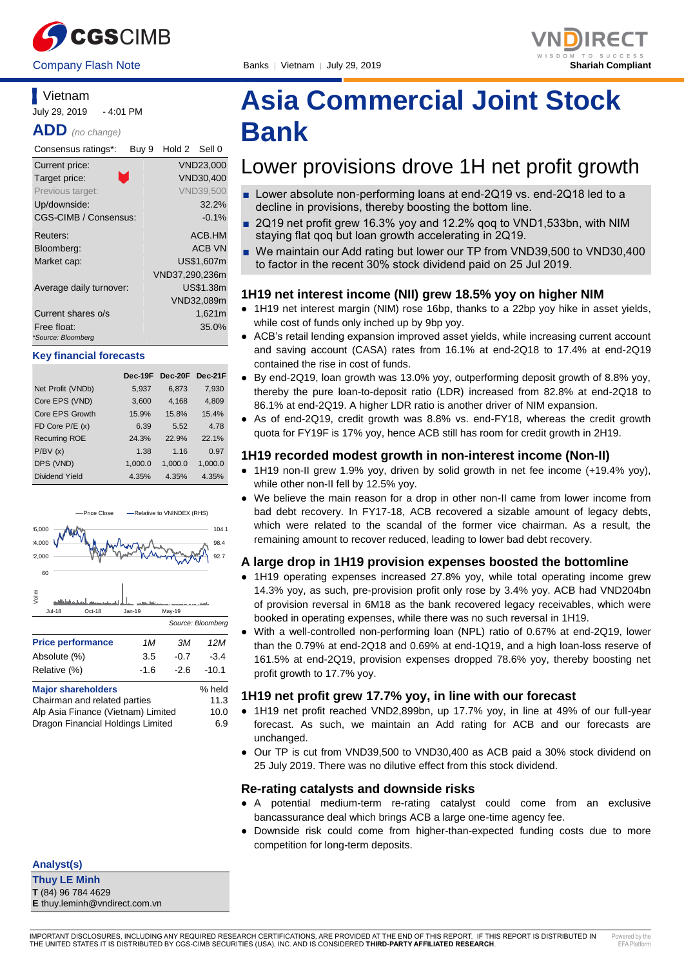



### **Vietnam**

July 29, 2019 - 4:01 PM

**ADD** *(no change)*

| Consensus ratings*:               | Buy 9 | Hold 2 Sell 0  |                  |
|-----------------------------------|-------|----------------|------------------|
| Current price:                    |       |                | VND23.000        |
| Target price:                     | ×.    |                | <b>VND30,400</b> |
| Previous target:                  |       |                | <b>VND39.500</b> |
| Up/downside:                      |       |                | 32.2%            |
| <b>CGS-CIMB / Consensus:</b>      |       |                | $-0.1\%$         |
| Reuters:                          |       |                | ACB.HM           |
| Bloomberg:                        |       |                | <b>ACB VN</b>    |
| Market cap:                       |       |                | US\$1,607m       |
|                                   |       | VND37,290,236m |                  |
| Average daily turnover:           |       |                | US\$1.38m        |
|                                   |       |                | VND32,089m       |
| Current shares o/s                |       |                | 1,621m           |
| Free float:<br>*Source: Bloomberg |       |                | 35.0%            |

#### **Key financial forecasts**

|                      | Dec-19F | Dec-20F | Dec-21F |
|----------------------|---------|---------|---------|
| Net Profit (VNDb)    | 5,937   | 6,873   | 7,930   |
| Core EPS (VND)       | 3,600   | 4,168   | 4,809   |
| Core EPS Growth      | 15.9%   | 15.8%   | 15.4%   |
| FD Core $P/E(x)$     | 6.39    | 5.52    | 4.78    |
| <b>Recurring ROE</b> | 24.3%   | 22.9%   | 22.1%   |
| P/BV(x)              | 1.38    | 1.16    | 0.97    |
| DPS (VND)            | 1,000.0 | 1,000.0 | 1,000.0 |
| Dividend Yield       | 4.35%   | 4.35%   | 4.35%   |



### Chairman and related parties 11.3 Alp Asia Finance (Vietnam) Limited 10.0

Dragon Financial Holdings Limited 6.9

**Analyst(s)**

**Thuy LE Minh T** (84) 96 784 4629 **E** thuy.leminh@vndirect.com.vn

# **Asia Commercial Joint Stock Bank**

## Lower provisions drove 1H net profit growth

- Lower absolute non-performing loans at end-2Q19 vs. end-2Q18 led to a decline in provisions, thereby boosting the bottom line.
- 2Q19 net profit grew 16.3% yoy and 12.2% goq to VND1,533bn, with NIM staying flat qoq but loan growth accelerating in 2Q19.
- We maintain our Add rating but lower our TP from VND39,500 to VND30,400 to factor in the recent 30% stock dividend paid on 25 Jul 2019.

### **1H19 net interest income (NII) grew 18.5% yoy on higher NIM**

- 1H19 net interest margin (NIM) rose 16bp, thanks to a 22bp yoy hike in asset yields, while cost of funds only inched up by 9bp yoy.
- ACB's retail lending expansion improved asset yields, while increasing current account and saving account (CASA) rates from 16.1% at end-2Q18 to 17.4% at end-2Q19 contained the rise in cost of funds.
- By end-2Q19, loan growth was 13.0% yoy, outperforming deposit growth of 8.8% yoy, thereby the pure loan-to-deposit ratio (LDR) increased from 82.8% at end-2Q18 to 86.1% at end-2Q19. A higher LDR ratio is another driver of NIM expansion.
- As of end-2Q19, credit growth was 8.8% vs. end-FY18, whereas the credit growth quota for FY19F is 17% yoy, hence ACB still has room for credit growth in 2H19.

### **1H19 recorded modest growth in non-interest income (Non-II)**

- 1H19 non-II grew 1.9% yoy, driven by solid growth in net fee income (+19.4% yoy), while other non-II fell by 12.5% yoy.
- We believe the main reason for a drop in other non-II came from lower income from bad debt recovery. In FY17-18, ACB recovered a sizable amount of legacy debts, which were related to the scandal of the former vice chairman. As a result, the remaining amount to recover reduced, leading to lower bad debt recovery.

### **A large drop in 1H19 provision expenses boosted the bottomline**

- 1H19 operating expenses increased 27.8% yoy, while total operating income grew 14.3% yoy, as such, pre-provision profit only rose by 3.4% yoy. ACB had VND204bn of provision reversal in 6M18 as the bank recovered legacy receivables, which were booked in operating expenses, while there was no such reversal in 1H19.
- With a well-controlled non-performing loan (NPL) ratio of 0.67% at end-2Q19, lower than the 0.79% at end-2Q18 and 0.69% at end-1Q19, and a high loan-loss reserve of 161.5% at end-2Q19, provision expenses dropped 78.6% yoy, thereby boosting net profit growth to 17.7% yoy.

### **1H19 net profit grew 17.7% yoy, in line with our forecast**

- 1H19 net profit reached VND2,899bn, up 17.7% yoy, in line at 49% of our full-year forecast. As such, we maintain an Add rating for ACB and our forecasts are unchanged.
- Our TP is cut from VND39,500 to VND30,400 as ACB paid a 30% stock dividend on 25 July 2019. There was no dilutive effect from this stock dividend.

### **Re-rating catalysts and downside risks**

- A potential medium-term re-rating catalyst could come from an exclusive bancassurance deal which brings ACB a large one-time agency fee.
- Downside risk could come from higher-than-expected funding costs due to more competition for long-term deposits.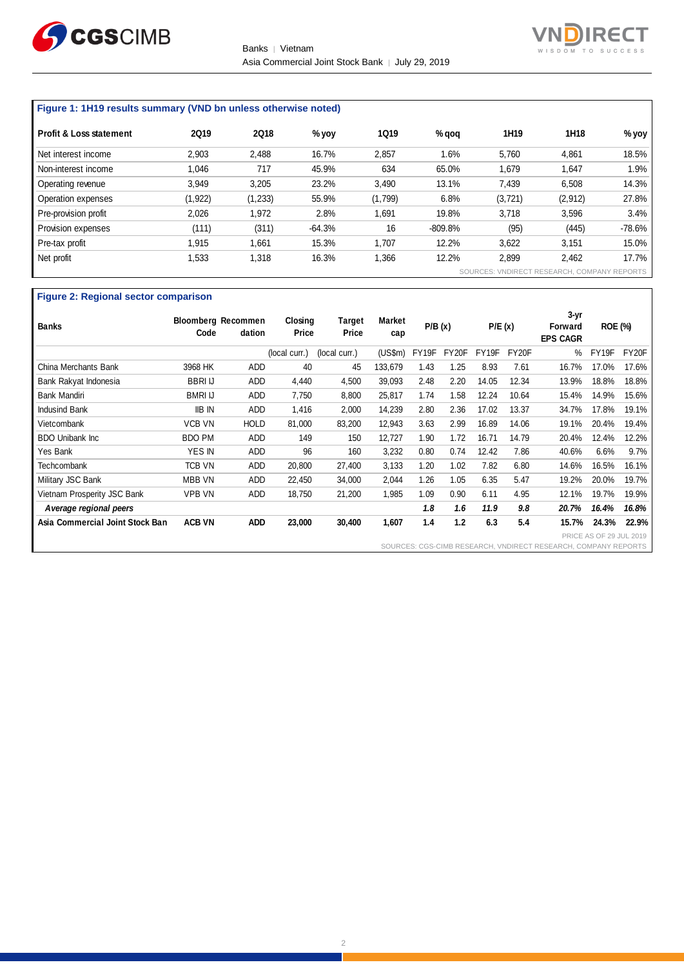



### **Figure 1: 1H19 results summary (VND bn unless otherwise noted)**

| <b>Profit &amp; Loss statement</b> | <b>2Q19</b> | <b>2Q18</b> | $%$ yoy  | <b>1Q19</b> | $%$ gog   | 1H <sub>19</sub> | 1H18                                      | % yoy    |
|------------------------------------|-------------|-------------|----------|-------------|-----------|------------------|-------------------------------------------|----------|
| Net interest income                | 2,903       | 2,488       | 16.7%    | 2,857       | 1.6%      | 5,760            | 4,861                                     | 18.5%    |
| Non-interest income                | 1.046       | 717         | 45.9%    | 634         | 65.0%     | 1,679            | 1,647                                     | 1.9%     |
| Operating revenue                  | 3,949       | 3,205       | 23.2%    | 3,490       | 13.1%     | 7,439            | 6,508                                     | 14.3%    |
| Operation expenses                 | (1,922)     | (1, 233)    | 55.9%    | (1,799)     | 6.8%      | (3, 721)         | (2,912)                                   | 27.8%    |
| Pre-provision profit               | 2,026       | 1,972       | 2.8%     | 1,691       | 19.8%     | 3,718            | 3,596                                     | 3.4%     |
| Provision expenses                 | (111)       | (311)       | $-64.3%$ | 16          | $-809.8%$ | (95)             | (445)                                     | $-78.6%$ |
| Pre-tax profit                     | 1.915       | 1,661       | 15.3%    | 1,707       | 12.2%     | 3,622            | 3,151                                     | 15.0%    |
| Net profit                         | 1.533       | 1,318       | 16.3%    | .366        | 12.2%     | 2,899            | 2.462                                     | 17.7%    |
|                                    |             |             |          |             | SOURCES:  |                  | <b>VNDIRECT RESEARCH, COMPANY REPORTS</b> |          |

### **Figure 2: Regional sector comparison**

| <b>Banks</b>                    | Code           | <b>Bloomberg Recommen</b><br>dation | Closing<br>Price | Target<br>Price | Market<br>cap | P/B(x) |       | P/E(x) |       | $3-yr$<br>Forward<br><b>EPS CAGR</b>           | <b>ROE (%)</b>                        |       |
|---------------------------------|----------------|-------------------------------------|------------------|-----------------|---------------|--------|-------|--------|-------|------------------------------------------------|---------------------------------------|-------|
|                                 |                |                                     | (local curr.)    | (local curr.)   | (USSm)        | FY19F  | FY20F | FY19F  | FY20F | $\%$                                           | FY19F                                 | FY20F |
| China Merchants Bank            | 3968 HK        | <b>ADD</b>                          | 40               | 45              | 133,679       | 1.43   | 1.25  | 8.93   | 7.61  | 16.7%                                          | 17.0%                                 | 17.6% |
| Bank Rakyat Indonesia           | <b>BBRI IJ</b> | ADD                                 | 4,440            | 4,500           | 39,093        | 2.48   | 2.20  | 14.05  | 12.34 | 13.9%                                          | 18.8%                                 | 18.8% |
| Bank Mandiri                    | <b>BMRI IJ</b> | <b>ADD</b>                          | 7,750            | 8,800           | 25,817        | 1.74   | 1.58  | 12.24  | 10.64 | 15.4%                                          | 14.9%                                 | 15.6% |
| Indusind Bank                   | <b>IIB IN</b>  | ADD                                 | 1,416            | 2,000           | 14,239        | 2.80   | 2.36  | 17.02  | 13.37 | 34.7%                                          | 17.8%                                 | 19.1% |
| Vietcombank                     | <b>VCB VN</b>  | <b>HOLD</b>                         | 81,000           | 83,200          | 12,943        | 3.63   | 2.99  | 16.89  | 14.06 | 19.1%                                          | 20.4%                                 | 19.4% |
| <b>BDO Unibank Inc.</b>         | <b>BDO PM</b>  | ADD                                 | 149              | 150             | 12,727        | 1.90   | 1.72  | 16.71  | 14.79 | 20.4%                                          | 12.4%                                 | 12.2% |
| Yes Bank                        | YES IN         | <b>ADD</b>                          | 96               | 160             | 3,232         | 0.80   | 0.74  | 12.42  | 7.86  | 40.6%                                          | 6.6%                                  | 9.7%  |
| Techcombank                     | <b>TCB VN</b>  | ADD                                 | 20,800           | 27,400          | 3,133         | 1.20   | 1.02  | 7.82   | 6.80  | 14.6%                                          | 16.5%                                 | 16.1% |
| Military JSC Bank               | <b>MBB VN</b>  | <b>ADD</b>                          | 22,450           | 34,000          | 2,044         | 1.26   | 1.05  | 6.35   | 5.47  | 19.2%                                          | 20.0%                                 | 19.7% |
| Vietnam Prosperity JSC Bank     | <b>VPB VN</b>  | ADD                                 | 18,750           | 21,200          | 1,985         | 1.09   | 0.90  | 6.11   | 4.95  | 12.1%                                          | 19.7%                                 | 19.9% |
| A verage regional peers         |                |                                     |                  |                 |               | 1.8    | 1.6   | 11.9   | 9.8   | 20.7%                                          | 16.4%                                 | 16.8% |
| Asia Commercial Joint Stock Ban | <b>ACB VN</b>  | <b>ADD</b>                          | 23,000           | 30,400          | 1,607         | 1.4    | 1.2   | 6.3    | 5.4   | 15.7%                                          | 24.3%                                 | 22.9% |
|                                 |                |                                     |                  |                 |               |        |       |        |       | SOURCES: CGS-CIMB RESEARCH, VNDIRECT RESEARCH. | PRICE AS OF 29 JUL<br>COMPANY REPORTS | 2019  |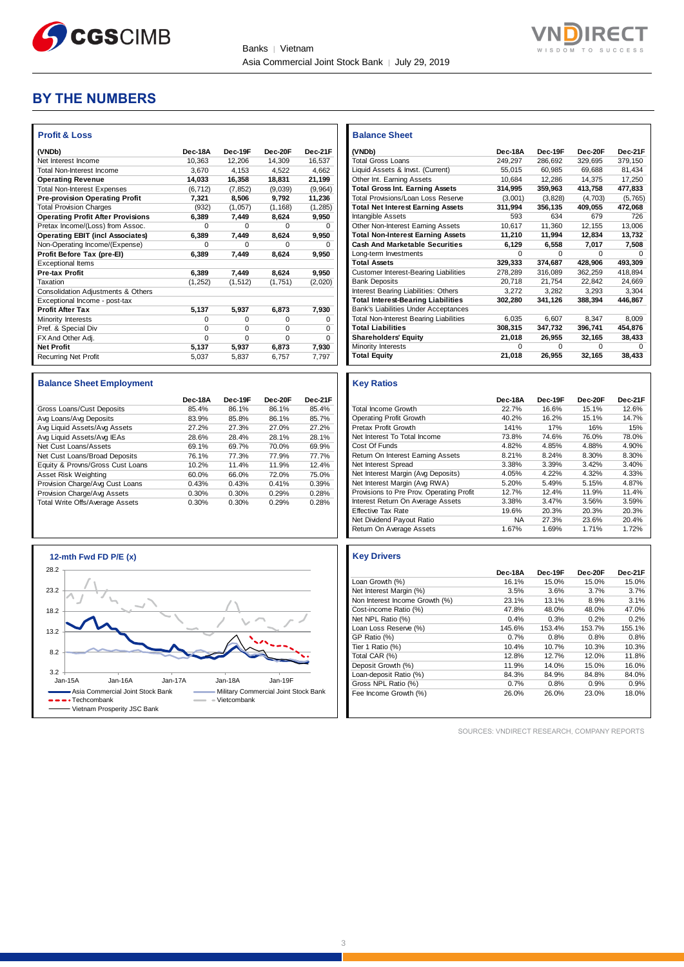

**Balance Sheet** 



### **BY THE NUMBERS**

| <b>Profit &amp; Loss</b>                 |          |          |          |          |
|------------------------------------------|----------|----------|----------|----------|
| (VNDb)                                   | Dec-18A  | Dec-19F  | Dec-20E  | Dec-21F  |
| Net Interest Income                      | 10.363   | 12.206   | 14.309   | 16.537   |
| Total Non-Interest Income                | 3.670    | 4.153    | 4.522    | 4.662    |
| <b>Operating Revenue</b>                 | 14,033   | 16,358   | 18,831   | 21,199   |
| <b>Total Non-Interest Expenses</b>       | (6, 712) | (7, 852) | (9,039)  | (9,964)  |
| <b>Pre-provision Operating Profit</b>    | 7.321    | 8,506    | 9,792    | 11,236   |
| <b>Total Provision Charges</b>           | (932)    | (1,057)  | (1, 168) | (1, 285) |
| <b>Operating Profit After Provisions</b> | 6,389    | 7,449    | 8,624    | 9,950    |
| Pretax Income/(Loss) from Assoc.         | $\Omega$ | O        | U        | O        |
| <b>Operating EBIT (incl Associates)</b>  | 6,389    | 7,449    | 8,624    | 9,950    |
| Non-Operating Income/(Expense)           | $\Omega$ | $\Omega$ | O        | 0        |
| Profit Before Tax (pre-El)               | 6.389    | 7.449    | 8.624    | 9,950    |
| <b>Exceptional Items</b>                 |          |          |          |          |
| <b>Pre-tax Profit</b>                    | 6,389    | 7,449    | 8.624    | 9,950    |
| Taxation                                 | (1, 252) | (1, 512) | (1,751)  | (2,020)  |
| Consolidation Adjustments & Others       |          |          |          |          |
| Exceptional Income - post-tax            |          |          |          |          |
| <b>Profit After Tax</b>                  | 5,137    | 5,937    | 6,873    | 7,930    |
| Minority Interests                       | $\Omega$ | $\Omega$ | $\Omega$ | $\Omega$ |
| Pref. & Special Div                      | $\Omega$ | $\Omega$ | $\Omega$ | $\Omega$ |
| FX And Other Adj.                        | $\Omega$ | $\Omega$ | $\Omega$ | $\Omega$ |
| <b>Net Profit</b>                        | 5,137    | 5,937    | 6,873    | 7,930    |
| <b>Recurring Net Profit</b>              | 5.037    | 5.837    | 6.757    | 7.797    |

### **Balance Sheet Employment**

|                                  | Dec-18A | Dec-19F | Dec-20F | Dec-21F |
|----------------------------------|---------|---------|---------|---------|
| Gross Loans/Cust Deposits        | 85.4%   | 86.1%   | 86.1%   | 85.4%   |
| Avg Loans/Avg Deposits           | 83.9%   | 85.8%   | 86.1%   | 85.7%   |
| Avg Liquid Assets/Avg Assets     | 27.2%   | 27.3%   | 27.0%   | 27.2%   |
| Avg Liquid Assets/Avg IEAs       | 28.6%   | 28.4%   | 28.1%   | 28.1%   |
| Net Cust Loans/Assets            | 69.1%   | 69.7%   | 70.0%   | 69.9%   |
| Net Cust Loans/Broad Deposits    | 76.1%   | 77.3%   | 77.9%   | 77.7%   |
| Equity & Provns/Gross Cust Loans | 10.2%   | 11.4%   | 11.9%   | 12.4%   |
| Asset Risk Weighting             | 60.0%   | 66.0%   | 72.0%   | 75.0%   |
| Provision Charge/Avg Cust Loans  | 0.43%   | 0.43%   | 0.41%   | 0.39%   |
| Provision Charge/Avg Assets      | 0.30%   | 0.30%   | 0.29%   | 0.28%   |
| Total Write Offs/Average Assets  | 0.30%   | 0.30%   | 0.29%   | 0.28%   |



| (VNDb)                                        | Dec-18A | Dec-19F  | Dec-20F      | Dec-21F |
|-----------------------------------------------|---------|----------|--------------|---------|
| <b>Total Gross Loans</b>                      | 249.297 | 286.692  | 329.695      | 379.150 |
| Liquid Assets & Invst. (Current)              | 55,015  | 60,985   | 69,688       | 81.434  |
| Other Int. Earning Assets                     | 10,684  | 12,286   | 14,375       | 17,250  |
| <b>Total Gross Int. Earning Assets</b>        | 314,995 | 359,963  | 413,758      | 477,833 |
| <b>Total Provisions/Loan Loss Reserve</b>     | (3,001) | (3,828)  | (4,703)      | (5,765) |
| <b>Total Net Interest Earning Assets</b>      | 311,994 | 356,135  | 409,055      | 472,068 |
| Intangible Assets                             | 593     | 634      | 679          | 726     |
| Other Non-Interest Earning Assets             | 10,617  | 11,360   | 12,155       | 13,006  |
| <b>Total Non-Interest Earning Assets</b>      | 11,210  | 11,994   | 12,834       | 13,732  |
| <b>Cash And Marketable Securities</b>         | 6,129   | 6,558    | 7,017        | 7,508   |
| Long-term Investments                         | O       | O        | <sup>0</sup> | n       |
| <b>Total Assets</b>                           | 329,333 | 374,687  | 428,906      | 493,309 |
| <b>Customer Interest-Bearing Liabilities</b>  | 278,289 | 316,089  | 362,259      | 418,894 |
| <b>Bank Deposits</b>                          | 20,718  | 21,754   | 22,842       | 24,669  |
| Interest Bearing Liabilities: Others          | 3,272   | 3,282    | 3,293        | 3,304   |
| <b>Total Interest-Bearing Liabilities</b>     | 302,280 | 341,126  | 388,394      | 446,867 |
| <b>Bank's Liabilities Under Acceptances</b>   |         |          |              |         |
| <b>Total Non-Interest Bearing Liabilities</b> | 6.035   | 6.607    | 8.347        | 8.009   |
| <b>Total Liabilities</b>                      | 308,315 | 347,732  | 396,741      | 454,876 |
| <b>Shareholders' Equity</b>                   | 21,018  | 26,955   | 32,165       | 38,433  |
| Minority Interests                            | O       | $\Omega$ | $\Omega$     |         |
| <b>Total Equity</b>                           | 21,018  | 26,955   | 32,165       | 38,433  |

### **Key Ratios**

|                                          | Dec-18A   | Dec-19F | Dec-20F | Dec-21F |
|------------------------------------------|-----------|---------|---------|---------|
| <b>Total Income Growth</b>               | 22.7%     | 16.6%   | 15.1%   | 12.6%   |
| <b>Operating Profit Growth</b>           | 40.2%     | 16.2%   | 15.1%   | 14.7%   |
| Pretax Profit Growth                     | 141%      | 17%     | 16%     | 15%     |
| Net Interest To Total Income             | 73.8%     | 74.6%   | 76.0%   | 78.0%   |
| Cost Of Funds                            | 4.82%     | 4.85%   | 4.88%   | 4.90%   |
| Return On Interest Earning Assets        | 8.21%     | 8.24%   | 8.30%   | 8.30%   |
| Net Interest Spread                      | 3.38%     | 3.39%   | 3.42%   | 3.40%   |
| Net Interest Margin (Avg Deposits)       | 4.05%     | 4.22%   | 4.32%   | 4.33%   |
| Net Interest Margin (Avg RWA)            | 5.20%     | 5.49%   | 5.15%   | 4.87%   |
| Provisions to Pre Prov. Operating Profit | 12.7%     | 12.4%   | 11.9%   | 11.4%   |
| Interest Return On Average Assets        | 3.38%     | 3.47%   | 3.56%   | 3.59%   |
| <b>Effective Tax Rate</b>                | 19.6%     | 20.3%   | 20.3%   | 20.3%   |
| Net Dividend Payout Ratio                | <b>NA</b> | 27.3%   | 23.6%   | 20.4%   |
| Return On Average Assets                 | 1.67%     | 1.69%   | 1.71%   | 1.72%   |

### **Key Drivers**

|                                | Dec-18A | Dec-19F | Dec-20F | Dec-21F |
|--------------------------------|---------|---------|---------|---------|
| Loan Growth (%)                | 16.1%   | 15.0%   | 15.0%   | 15.0%   |
| Net Interest Margin (%)        | 3.5%    | 3.6%    | 3.7%    | 3.7%    |
| Non Interest Income Growth (%) | 23.1%   | 13.1%   | 8.9%    | 3.1%    |
| Cost-income Ratio (%)          | 47.8%   | 48.0%   | 48.0%   | 47.0%   |
| Net NPL Ratio (%)              | 0.4%    | 0.3%    | 0.2%    | 0.2%    |
| Loan Loss Reserve (%)          | 145.6%  | 153.4%  | 153.7%  | 155.1%  |
| GP Ratio (%)                   | 0.7%    | 0.8%    | 0.8%    | 0.8%    |
| Tier 1 Ratio (%)               | 10.4%   | 10.7%   | 10.3%   | 10.3%   |
| Total CAR (%)                  | 12.8%   | 12.7%   | 12.0%   | 11.8%   |
| Deposit Growth (%)             | 11.9%   | 14.0%   | 15.0%   | 16.0%   |
| Loan-deposit Ratio (%)         | 84.3%   | 84.9%   | 84.8%   | 84.0%   |
| Gross NPL Ratio (%)            | 0.7%    | 0.8%    | 0.9%    | 0.9%    |
| Fee Income Growth (%)          | 26.0%   | 26.0%   | 23.0%   | 18.0%   |

SOURCES: VNDIRECT RESEARCH, COMPANY REPORTS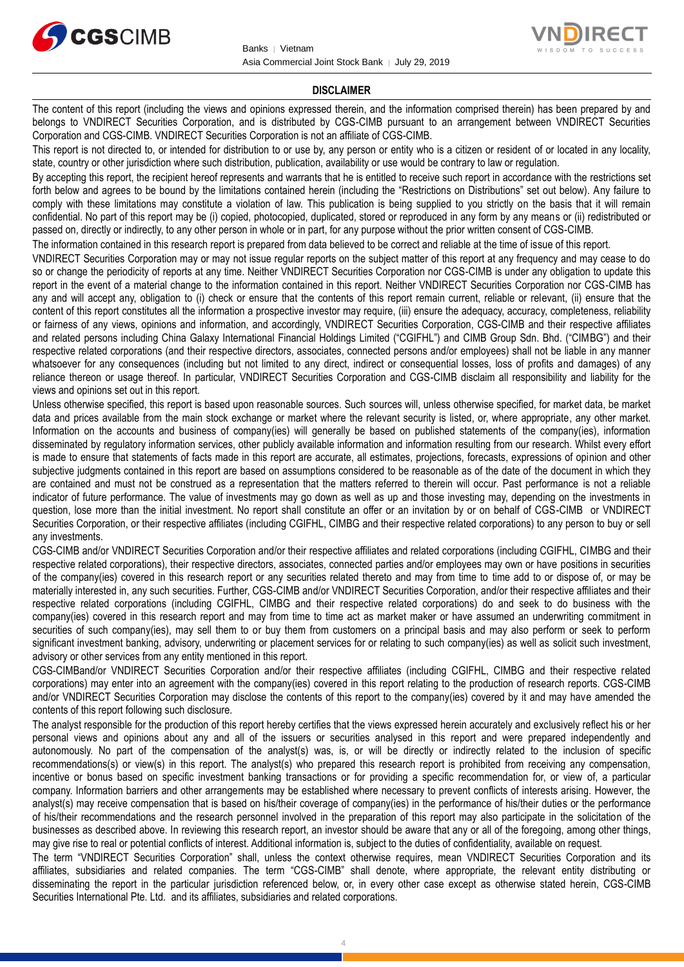



### **DISCLAIMER**

The content of this report (including the views and opinions expressed therein, and the information comprised therein) has been prepared by and belongs to VNDIRECT Securities Corporation, and is distributed by CGS-CIMB pursuant to an arrangement between VNDIRECT Securities Corporation and CGS-CIMB. VNDIRECT Securities Corporation is not an affiliate of CGS-CIMB.

This report is not directed to, or intended for distribution to or use by, any person or entity who is a citizen or resident of or located in any locality, state, country or other jurisdiction where such distribution, publication, availability or use would be contrary to law or regulation.

By accepting this report, the recipient hereof represents and warrants that he is entitled to receive such report in accordance with the restrictions set forth below and agrees to be bound by the limitations contained herein (including the "Restrictions on Distributions" set out below). Any failure to comply with these limitations may constitute a violation of law. This publication is being supplied to you strictly on the basis that it will remain confidential. No part of this report may be (i) copied, photocopied, duplicated, stored or reproduced in any form by any means or (ii) redistributed or passed on, directly or indirectly, to any other person in whole or in part, for any purpose without the prior written consent of CGS-CIMB.

The information contained in this research report is prepared from data believed to be correct and reliable at the time of issue of this report.

VNDIRECT Securities Corporation may or may not issue regular reports on the subject matter of this report at any frequency and may cease to do so or change the periodicity of reports at any time. Neither VNDIRECT Securities Corporation nor CGS-CIMB is under any obligation to update this report in the event of a material change to the information contained in this report. Neither VNDIRECT Securities Corporation nor CGS-CIMB has any and will accept any, obligation to (i) check or ensure that the contents of this report remain current, reliable or relevant, (ii) ensure that the content of this report constitutes all the information a prospective investor may require, (iii) ensure the adequacy, accuracy, completeness, reliability or fairness of any views, opinions and information, and accordingly, VNDIRECT Securities Corporation, CGS-CIMB and their respective affiliates and related persons including China Galaxy International Financial Holdings Limited ("CGIFHL") and CIMB Group Sdn. Bhd. ("CIMBG") and their respective related corporations (and their respective directors, associates, connected persons and/or employees) shall not be liable in any manner whatsoever for any consequences (including but not limited to any direct, indirect or consequential losses, loss of profits and damages) of any reliance thereon or usage thereof. In particular, VNDIRECT Securities Corporation and CGS-CIMB disclaim all responsibility and liability for the views and opinions set out in this report.

Unless otherwise specified, this report is based upon reasonable sources. Such sources will, unless otherwise specified, for market data, be market data and prices available from the main stock exchange or market where the relevant security is listed, or, where appropriate, any other market. Information on the accounts and business of company(ies) will generally be based on published statements of the company(ies), information disseminated by regulatory information services, other publicly available information and information resulting from our research. Whilst every effort is made to ensure that statements of facts made in this report are accurate, all estimates, projections, forecasts, expressions of opinion and other subjective judgments contained in this report are based on assumptions considered to be reasonable as of the date of the document in which they are contained and must not be construed as a representation that the matters referred to therein will occur. Past performance is not a reliable indicator of future performance. The value of investments may go down as well as up and those investing may, depending on the investments in question, lose more than the initial investment. No report shall constitute an offer or an invitation by or on behalf of CGS-CIMB or VNDIRECT Securities Corporation, or their respective affiliates (including CGIFHL, CIMBG and their respective related corporations) to any person to buy or sell any investments.

CGS-CIMB and/or VNDIRECT Securities Corporation and/or their respective affiliates and related corporations (including CGIFHL, CIMBG and their respective related corporations), their respective directors, associates, connected parties and/or employees may own or have positions in securities of the company(ies) covered in this research report or any securities related thereto and may from time to time add to or dispose of, or may be materially interested in, any such securities. Further, CGS-CIMB and/or VNDIRECT Securities Corporation, and/or their respective affiliates and their respective related corporations (including CGIFHL, CIMBG and their respective related corporations) do and seek to do business with the company(ies) covered in this research report and may from time to time act as market maker or have assumed an underwriting commitment in securities of such company(ies), may sell them to or buy them from customers on a principal basis and may also perform or seek to perform significant investment banking, advisory, underwriting or placement services for or relating to such company(ies) as well as solicit such investment, advisory or other services from any entity mentioned in this report.

CGS-CIMBand/or VNDIRECT Securities Corporation and/or their respective affiliates (including CGIFHL, CIMBG and their respective related corporations) may enter into an agreement with the company(ies) covered in this report relating to the production of research reports. CGS-CIMB and/or VNDIRECT Securities Corporation may disclose the contents of this report to the company(ies) covered by it and may have amended the contents of this report following such disclosure.

The analyst responsible for the production of this report hereby certifies that the views expressed herein accurately and exclusively reflect his or her personal views and opinions about any and all of the issuers or securities analysed in this report and were prepared independently and autonomously. No part of the compensation of the analyst(s) was, is, or will be directly or indirectly related to the inclusion of specific recommendations(s) or view(s) in this report. The analyst(s) who prepared this research report is prohibited from receiving any compensation, incentive or bonus based on specific investment banking transactions or for providing a specific recommendation for, or view of, a particular company. Information barriers and other arrangements may be established where necessary to prevent conflicts of interests arising. However, the analyst(s) may receive compensation that is based on his/their coverage of company(ies) in the performance of his/their duties or the performance of his/their recommendations and the research personnel involved in the preparation of this report may also participate in the solicitation of the businesses as described above. In reviewing this research report, an investor should be aware that any or all of the foregoing, among other things, may give rise to real or potential conflicts of interest. Additional information is, subject to the duties of confidentiality, available on request.

The term "VNDIRECT Securities Corporation" shall, unless the context otherwise requires, mean VNDIRECT Securities Corporation and its affiliates, subsidiaries and related companies. The term "CGS-CIMB" shall denote, where appropriate, the relevant entity distributing or disseminating the report in the particular jurisdiction referenced below, or, in every other case except as otherwise stated herein, CGS-CIMB Securities International Pte. Ltd. and its affiliates, subsidiaries and related corporations.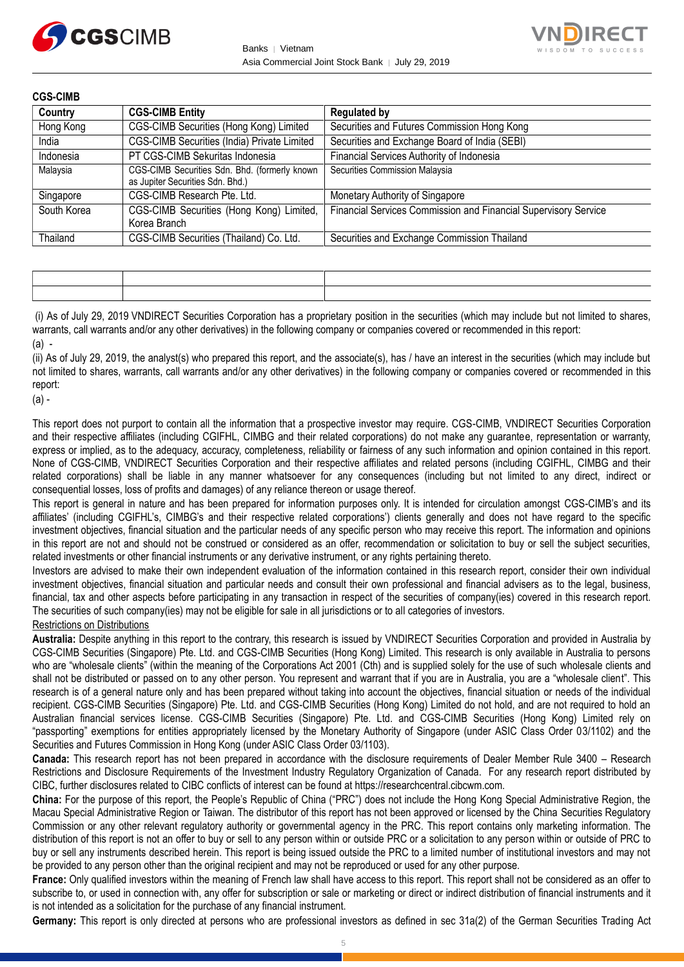



**CGS-CIMB**

| Country     | <b>CGS-CIMB Entity</b>                                                            | <b>Regulated by</b>                                             |
|-------------|-----------------------------------------------------------------------------------|-----------------------------------------------------------------|
| Hong Kong   | CGS-CIMB Securities (Hong Kong) Limited                                           | Securities and Futures Commission Hong Kong                     |
| India       | CGS-CIMB Securities (India) Private Limited                                       | Securities and Exchange Board of India (SEBI)                   |
| Indonesia   | PT CGS-CIMB Sekuritas Indonesia                                                   | Financial Services Authority of Indonesia                       |
| Malaysia    | CGS-CIMB Securities Sdn. Bhd. (formerly known<br>as Jupiter Securities Sdn. Bhd.) | Securities Commission Malaysia                                  |
| Singapore   | CGS-CIMB Research Pte. Ltd.                                                       | Monetary Authority of Singapore                                 |
| South Korea | CGS-CIMB Securities (Hong Kong) Limited,<br>Korea Branch                          | Financial Services Commission and Financial Supervisory Service |
| Thailand    | CGS-CIMB Securities (Thailand) Co. Ltd.                                           | Securities and Exchange Commission Thailand                     |

(i) As of July 29, 2019 VNDIRECT Securities Corporation has a proprietary position in the securities (which may include but not limited to shares, warrants, call warrants and/or any other derivatives) in the following company or companies covered or recommended in this report:  $(a)$  -

(ii) As of July 29, 2019, the analyst(s) who prepared this report, and the associate(s), has / have an interest in the securities (which may include but not limited to shares, warrants, call warrants and/or any other derivatives) in the following company or companies covered or recommended in this report:

(a) -

This report does not purport to contain all the information that a prospective investor may require. CGS-CIMB, VNDIRECT Securities Corporation and their respective affiliates (including CGIFHL, CIMBG and their related corporations) do not make any guarantee, representation or warranty, express or implied, as to the adequacy, accuracy, completeness, reliability or fairness of any such information and opinion contained in this report. None of CGS-CIMB, VNDIRECT Securities Corporation and their respective affiliates and related persons (including CGIFHL, CIMBG and their related corporations) shall be liable in any manner whatsoever for any consequences (including but not limited to any direct, indirect or consequential losses, loss of profits and damages) of any reliance thereon or usage thereof.

This report is general in nature and has been prepared for information purposes only. It is intended for circulation amongst CGS-CIMB's and its affiliates' (including CGIFHL's, CIMBG's and their respective related corporations') clients generally and does not have regard to the specific investment objectives, financial situation and the particular needs of any specific person who may receive this report. The information and opinions in this report are not and should not be construed or considered as an offer, recommendation or solicitation to buy or sell the subject securities, related investments or other financial instruments or any derivative instrument, or any rights pertaining thereto.

Investors are advised to make their own independent evaluation of the information contained in this research report, consider their own individual investment objectives, financial situation and particular needs and consult their own professional and financial advisers as to the legal, business, financial, tax and other aspects before participating in any transaction in respect of the securities of company(ies) covered in this research report. The securities of such company(ies) may not be eligible for sale in all jurisdictions or to all categories of investors.

### Restrictions on Distributions

**Australia:** Despite anything in this report to the contrary, this research is issued by VNDIRECT Securities Corporation and provided in Australia by CGS-CIMB Securities (Singapore) Pte. Ltd. and CGS-CIMB Securities (Hong Kong) Limited. This research is only available in Australia to persons who are "wholesale clients" (within the meaning of the Corporations Act 2001 (Cth) and is supplied solely for the use of such wholesale clients and shall not be distributed or passed on to any other person. You represent and warrant that if you are in Australia, you are a "wholesale client". This research is of a general nature only and has been prepared without taking into account the objectives, financial situation or needs of the individual recipient. CGS-CIMB Securities (Singapore) Pte. Ltd. and CGS-CIMB Securities (Hong Kong) Limited do not hold, and are not required to hold an Australian financial services license. CGS-CIMB Securities (Singapore) Pte. Ltd. and CGS-CIMB Securities (Hong Kong) Limited rely on "passporting" exemptions for entities appropriately licensed by the Monetary Authority of Singapore (under ASIC Class Order 03/1102) and the Securities and Futures Commission in Hong Kong (under ASIC Class Order 03/1103).

**Canada:** This research report has not been prepared in accordance with the disclosure requirements of Dealer Member Rule 3400 – Research Restrictions and Disclosure Requirements of the Investment Industry Regulatory Organization of Canada. For any research report distributed by CIBC, further disclosures related to CIBC conflicts of interest can be found at https://researchcentral.cibcwm.com.

**China:** For the purpose of this report, the People's Republic of China ("PRC") does not include the Hong Kong Special Administrative Region, the Macau Special Administrative Region or Taiwan. The distributor of this report has not been approved or licensed by the China Securities Regulatory Commission or any other relevant regulatory authority or governmental agency in the PRC. This report contains only marketing information. The distribution of this report is not an offer to buy or sell to any person within or outside PRC or a solicitation to any person within or outside of PRC to buy or sell any instruments described herein. This report is being issued outside the PRC to a limited number of institutional investors and may not be provided to any person other than the original recipient and may not be reproduced or used for any other purpose.

**France:** Only qualified investors within the meaning of French law shall have access to this report. This report shall not be considered as an offer to subscribe to, or used in connection with, any offer for subscription or sale or marketing or direct or indirect distribution of financial instruments and it is not intended as a solicitation for the purchase of any financial instrument.

**Germany:** This report is only directed at persons who are professional investors as defined in sec 31a(2) of the German Securities Trading Act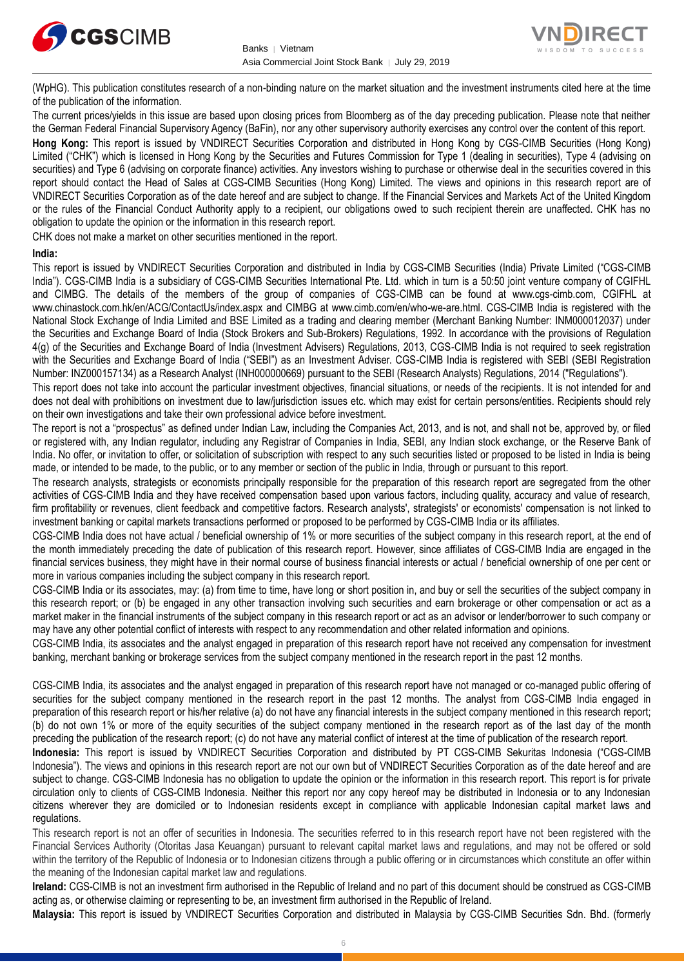



(WpHG). This publication constitutes research of a non-binding nature on the market situation and the investment instruments cited here at the time of the publication of the information.

The current prices/yields in this issue are based upon closing prices from Bloomberg as of the day preceding publication. Please note that neither the German Federal Financial Supervisory Agency (BaFin), nor any other supervisory authority exercises any control over the content of this report.

**Hong Kong:** This report is issued by VNDIRECT Securities Corporation and distributed in Hong Kong by CGS-CIMB Securities (Hong Kong) Limited ("CHK") which is licensed in Hong Kong by the Securities and Futures Commission for Type 1 (dealing in securities), Type 4 (advising on securities) and Type 6 (advising on corporate finance) activities. Any investors wishing to purchase or otherwise deal in the securities covered in this report should contact the Head of Sales at CGS-CIMB Securities (Hong Kong) Limited. The views and opinions in this research report are of VNDIRECT Securities Corporation as of the date hereof and are subject to change. If the Financial Services and Markets Act of the United Kingdom or the rules of the Financial Conduct Authority apply to a recipient, our obligations owed to such recipient therein are unaffected. CHK has no obligation to update the opinion or the information in this research report.

CHK does not make a market on other securities mentioned in the report.

### **India:**

This report is issued by VNDIRECT Securities Corporation and distributed in India by CGS-CIMB Securities (India) Private Limited ("CGS-CIMB India"). CGS-CIMB India is a subsidiary of CGS-CIMB Securities International Pte. Ltd. which in turn is a 50:50 joint venture company of CGIFHL and CIMBG. The details of the members of the group of companies of CGS-CIMB can be found at www.cgs-cimb.com, CGIFHL at www.chinastock.com.hk/en/ACG/ContactUs/index.aspx and CIMBG at www.cimb.com/en/who-we-are.html. CGS-CIMB India is registered with the National Stock Exchange of India Limited and BSE Limited as a trading and clearing member (Merchant Banking Number: INM000012037) under the Securities and Exchange Board of India (Stock Brokers and Sub-Brokers) Regulations, 1992. In accordance with the provisions of Regulation 4(g) of the Securities and Exchange Board of India (Investment Advisers) Regulations, 2013, CGS-CIMB India is not required to seek registration with the Securities and Exchange Board of India ("SEBI") as an Investment Adviser. CGS-CIMB India is registered with SEBI (SEBI Registration Number: INZ000157134) as a Research Analyst (INH000000669) pursuant to the SEBI (Research Analysts) Regulations, 2014 ("Regulations").

This report does not take into account the particular investment objectives, financial situations, or needs of the recipients. It is not intended for and does not deal with prohibitions on investment due to law/jurisdiction issues etc. which may exist for certain persons/entities. Recipients should rely on their own investigations and take their own professional advice before investment.

The report is not a "prospectus" as defined under Indian Law, including the Companies Act, 2013, and is not, and shall not be, approved by, or filed or registered with, any Indian regulator, including any Registrar of Companies in India, SEBI, any Indian stock exchange, or the Reserve Bank of India. No offer, or invitation to offer, or solicitation of subscription with respect to any such securities listed or proposed to be listed in India is being made, or intended to be made, to the public, or to any member or section of the public in India, through or pursuant to this report.

The research analysts, strategists or economists principally responsible for the preparation of this research report are segregated from the other activities of CGS-CIMB India and they have received compensation based upon various factors, including quality, accuracy and value of research, firm profitability or revenues, client feedback and competitive factors. Research analysts', strategists' or economists' compensation is not linked to investment banking or capital markets transactions performed or proposed to be performed by CGS-CIMB India or its affiliates.

CGS-CIMB India does not have actual / beneficial ownership of 1% or more securities of the subject company in this research report, at the end of the month immediately preceding the date of publication of this research report. However, since affiliates of CGS-CIMB India are engaged in the financial services business, they might have in their normal course of business financial interests or actual / beneficial ownership of one per cent or more in various companies including the subject company in this research report.

CGS-CIMB India or its associates, may: (a) from time to time, have long or short position in, and buy or sell the securities of the subject company in this research report; or (b) be engaged in any other transaction involving such securities and earn brokerage or other compensation or act as a market maker in the financial instruments of the subject company in this research report or act as an advisor or lender/borrower to such company or may have any other potential conflict of interests with respect to any recommendation and other related information and opinions.

CGS-CIMB India, its associates and the analyst engaged in preparation of this research report have not received any compensation for investment banking, merchant banking or brokerage services from the subject company mentioned in the research report in the past 12 months.

CGS-CIMB India, its associates and the analyst engaged in preparation of this research report have not managed or co-managed public offering of securities for the subject company mentioned in the research report in the past 12 months. The analyst from CGS-CIMB India engaged in preparation of this research report or his/her relative (a) do not have any financial interests in the subject company mentioned in this research report; (b) do not own 1% or more of the equity securities of the subject company mentioned in the research report as of the last day of the month preceding the publication of the research report; (c) do not have any material conflict of interest at the time of publication of the research report.

**Indonesia:** This report is issued by VNDIRECT Securities Corporation and distributed by PT CGS-CIMB Sekuritas Indonesia ("CGS-CIMB Indonesia"). The views and opinions in this research report are not our own but of VNDIRECT Securities Corporation as of the date hereof and are subject to change. CGS-CIMB Indonesia has no obligation to update the opinion or the information in this research report. This report is for private circulation only to clients of CGS-CIMB Indonesia. Neither this report nor any copy hereof may be distributed in Indonesia or to any Indonesian citizens wherever they are domiciled or to Indonesian residents except in compliance with applicable Indonesian capital market laws and regulations.

This research report is not an offer of securities in Indonesia. The securities referred to in this research report have not been registered with the Financial Services Authority (Otoritas Jasa Keuangan) pursuant to relevant capital market laws and regulations, and may not be offered or sold within the territory of the Republic of Indonesia or to Indonesian citizens through a public offering or in circumstances which constitute an offer within the meaning of the Indonesian capital market law and regulations.

**Ireland:** CGS-CIMB is not an investment firm authorised in the Republic of Ireland and no part of this document should be construed as CGS-CIMB acting as, or otherwise claiming or representing to be, an investment firm authorised in the Republic of Ireland.

**Malaysia:** This report is issued by VNDIRECT Securities Corporation and distributed in Malaysia by CGS-CIMB Securities Sdn. Bhd. (formerly

6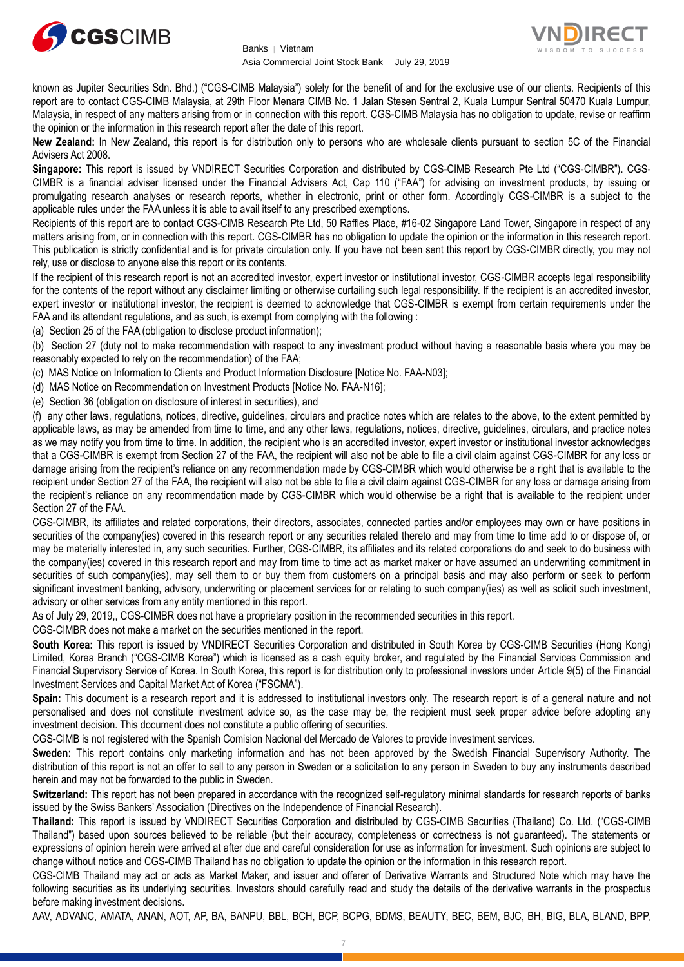



known as Jupiter Securities Sdn. Bhd.) ("CGS-CIMB Malaysia") solely for the benefit of and for the exclusive use of our clients. Recipients of this report are to contact CGS-CIMB Malaysia, at 29th Floor Menara CIMB No. 1 Jalan Stesen Sentral 2, Kuala Lumpur Sentral 50470 Kuala Lumpur, Malaysia, in respect of any matters arising from or in connection with this report. CGS-CIMB Malaysia has no obligation to update, revise or reaffirm the opinion or the information in this research report after the date of this report.

**New Zealand:** In New Zealand, this report is for distribution only to persons who are wholesale clients pursuant to section 5C of the Financial Advisers Act 2008.

**Singapore:** This report is issued by VNDIRECT Securities Corporation and distributed by CGS-CIMB Research Pte Ltd ("CGS-CIMBR"). CGS-CIMBR is a financial adviser licensed under the Financial Advisers Act, Cap 110 ("FAA") for advising on investment products, by issuing or promulgating research analyses or research reports, whether in electronic, print or other form. Accordingly CGS-CIMBR is a subject to the applicable rules under the FAA unless it is able to avail itself to any prescribed exemptions.

Recipients of this report are to contact CGS-CIMB Research Pte Ltd, 50 Raffles Place, #16-02 Singapore Land Tower, Singapore in respect of any matters arising from, or in connection with this report. CGS-CIMBR has no obligation to update the opinion or the information in this research report. This publication is strictly confidential and is for private circulation only. If you have not been sent this report by CGS-CIMBR directly, you may not rely, use or disclose to anyone else this report or its contents.

If the recipient of this research report is not an accredited investor, expert investor or institutional investor, CGS-CIMBR accepts legal responsibility for the contents of the report without any disclaimer limiting or otherwise curtailing such legal responsibility. If the recipient is an accredited investor, expert investor or institutional investor, the recipient is deemed to acknowledge that CGS-CIMBR is exempt from certain requirements under the FAA and its attendant regulations, and as such, is exempt from complying with the following :

(a) Section 25 of the FAA (obligation to disclose product information);

(b) Section 27 (duty not to make recommendation with respect to any investment product without having a reasonable basis where you may be reasonably expected to rely on the recommendation) of the FAA;

(c) MAS Notice on Information to Clients and Product Information Disclosure [Notice No. FAA-N03];

(d) MAS Notice on Recommendation on Investment Products [Notice No. FAA-N16];

(e) Section 36 (obligation on disclosure of interest in securities), and

(f) any other laws, regulations, notices, directive, guidelines, circulars and practice notes which are relates to the above, to the extent permitted by applicable laws, as may be amended from time to time, and any other laws, regulations, notices, directive, guidelines, circulars, and practice notes as we may notify you from time to time. In addition, the recipient who is an accredited investor, expert investor or institutional investor acknowledges that a CGS-CIMBR is exempt from Section 27 of the FAA, the recipient will also not be able to file a civil claim against CGS-CIMBR for any loss or damage arising from the recipient's reliance on any recommendation made by CGS-CIMBR which would otherwise be a right that is available to the recipient under Section 27 of the FAA, the recipient will also not be able to file a civil claim against CGS-CIMBR for any loss or damage arising from the recipient's reliance on any recommendation made by CGS-CIMBR which would otherwise be a right that is available to the recipient under Section 27 of the FAA.

CGS-CIMBR, its affiliates and related corporations, their directors, associates, connected parties and/or employees may own or have positions in securities of the company(ies) covered in this research report or any securities related thereto and may from time to time add to or dispose of, or may be materially interested in, any such securities. Further, CGS-CIMBR, its affiliates and its related corporations do and seek to do business with the company(ies) covered in this research report and may from time to time act as market maker or have assumed an underwriting commitment in securities of such company(ies), may sell them to or buy them from customers on a principal basis and may also perform or seek to perform significant investment banking, advisory, underwriting or placement services for or relating to such company(ies) as well as solicit such investment, advisory or other services from any entity mentioned in this report.

As of July 29, 2019,, CGS-CIMBR does not have a proprietary position in the recommended securities in this report.

CGS-CIMBR does not make a market on the securities mentioned in the report.

**South Korea:** This report is issued by VNDIRECT Securities Corporation and distributed in South Korea by CGS-CIMB Securities (Hong Kong) Limited, Korea Branch ("CGS-CIMB Korea") which is licensed as a cash equity broker, and regulated by the Financial Services Commission and Financial Supervisory Service of Korea. In South Korea, this report is for distribution only to professional investors under Article 9(5) of the Financial Investment Services and Capital Market Act of Korea ("FSCMA").

**Spain:** This document is a research report and it is addressed to institutional investors only. The research report is of a general nature and not personalised and does not constitute investment advice so, as the case may be, the recipient must seek proper advice before adopting any investment decision. This document does not constitute a public offering of securities.

CGS-CIMB is not registered with the Spanish Comision Nacional del Mercado de Valores to provide investment services.

**Sweden:** This report contains only marketing information and has not been approved by the Swedish Financial Supervisory Authority. The distribution of this report is not an offer to sell to any person in Sweden or a solicitation to any person in Sweden to buy any instruments described herein and may not be forwarded to the public in Sweden.

**Switzerland:** This report has not been prepared in accordance with the recognized self-regulatory minimal standards for research reports of banks issued by the Swiss Bankers' Association (Directives on the Independence of Financial Research).

**Thailand:** This report is issued by VNDIRECT Securities Corporation and distributed by CGS-CIMB Securities (Thailand) Co. Ltd. ("CGS-CIMB Thailand") based upon sources believed to be reliable (but their accuracy, completeness or correctness is not guaranteed). The statements or expressions of opinion herein were arrived at after due and careful consideration for use as information for investment. Such opinions are subject to change without notice and CGS-CIMB Thailand has no obligation to update the opinion or the information in this research report.

CGS-CIMB Thailand may act or acts as Market Maker, and issuer and offerer of Derivative Warrants and Structured Note which may have the following securities as its underlying securities. Investors should carefully read and study the details of the derivative warrants in the prospectus before making investment decisions.

AAV, ADVANC, AMATA, ANAN, AOT, AP, BA, BANPU, BBL, BCH, BCP, BCPG, BDMS, BEAUTY, BEC, BEM, BJC, BH, BIG, BLA, BLAND, BPP,

7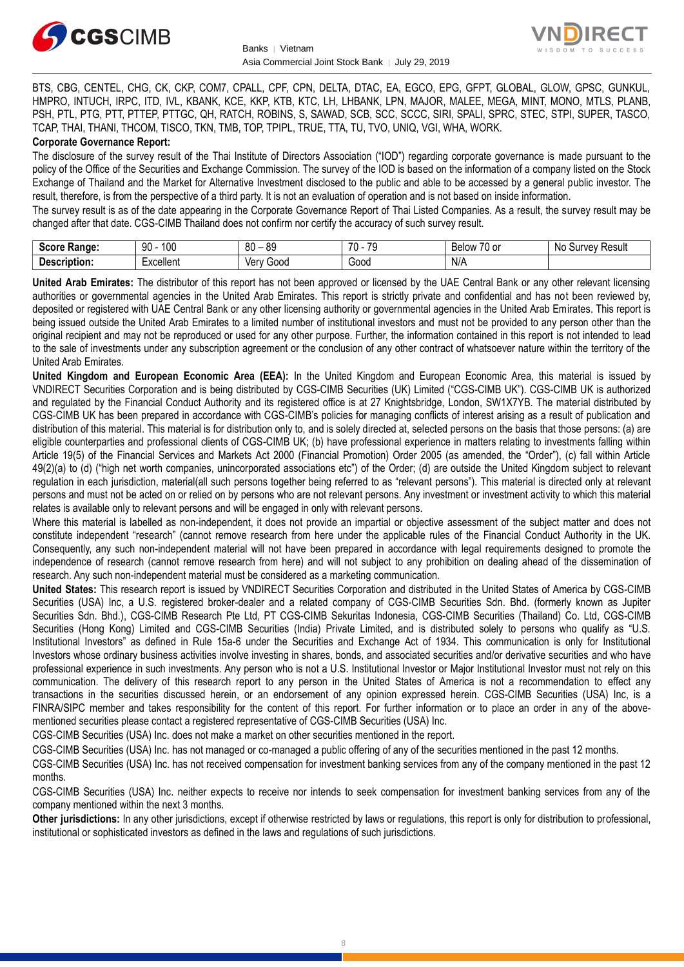



BTS, CBG, CENTEL, CHG, CK, CKP, COM7, CPALL, CPF, CPN, DELTA, DTAC, EA, EGCO, EPG, GFPT, GLOBAL, GLOW, GPSC, GUNKUL, HMPRO, INTUCH, IRPC, ITD, IVL, KBANK, KCE, KKP, KTB, KTC, LH, LHBANK, LPN, MAJOR, MALEE, MEGA, MINT, MONO, MTLS, PLANB, PSH, PTL, PTG, PTT, PTTEP, PTTGC, QH, RATCH, ROBINS, S, SAWAD, SCB, SCC, SCCC, SIRI, SPALI, SPRC, STEC, STPI, SUPER, TASCO, TCAP, THAI, THANI, THCOM, TISCO, TKN, TMB, TOP, TPIPL, TRUE, TTA, TU, TVO, UNIQ, VGI, WHA, WORK.

### **Corporate Governance Report:**

The disclosure of the survey result of the Thai Institute of Directors Association ("IOD") regarding corporate governance is made pursuant to the policy of the Office of the Securities and Exchange Commission. The survey of the IOD is based on the information of a company listed on the Stock Exchange of Thailand and the Market for Alternative Investment disclosed to the public and able to be accessed by a general public investor. The result, therefore, is from the perspective of a third party. It is not an evaluation of operation and is not based on inside information.

The survey result is as of the date appearing in the Corporate Governance Report of Thai Listed Companies. As a result, the survey result may be changed after that date. CGS-CIMB Thailand does not confirm nor certify the accuracy of such survey result.

| <b>Score</b><br><b>Range:</b> | 100<br>90 | $^{\circ}$<br><b>RC</b><br>vu | 70<br>$70^{\circ}$<br>л. | $\overline{\phantom{a}}$<br>Below<br>.∪ or | Result<br>urvar.<br>N <sub>IC</sub><br>.<br>uu<br>. . |
|-------------------------------|-----------|-------------------------------|--------------------------|--------------------------------------------|-------------------------------------------------------|
| Description                   | xcellent  | ∨en<br>00cذ                   | G00C<br>.                | N/A                                        |                                                       |

**United Arab Emirates:** The distributor of this report has not been approved or licensed by the UAE Central Bank or any other relevant licensing authorities or governmental agencies in the United Arab Emirates. This report is strictly private and confidential and has not been reviewed by, deposited or registered with UAE Central Bank or any other licensing authority or governmental agencies in the United Arab Emirates. This report is being issued outside the United Arab Emirates to a limited number of institutional investors and must not be provided to any person other than the original recipient and may not be reproduced or used for any other purpose. Further, the information contained in this report is not intended to lead to the sale of investments under any subscription agreement or the conclusion of any other contract of whatsoever nature within the territory of the United Arab Emirates.

**United Kingdom and European Economic Area (EEA):** In the United Kingdom and European Economic Area, this material is issued by VNDIRECT Securities Corporation and is being distributed by CGS-CIMB Securities (UK) Limited ("CGS-CIMB UK"). CGS-CIMB UK is authorized and regulated by the Financial Conduct Authority and its registered office is at 27 Knightsbridge, London, SW1X7YB. The material distributed by CGS-CIMB UK has been prepared in accordance with CGS-CIMB's policies for managing conflicts of interest arising as a result of publication and distribution of this material. This material is for distribution only to, and is solely directed at, selected persons on the basis that those persons: (a) are eligible counterparties and professional clients of CGS-CIMB UK; (b) have professional experience in matters relating to investments falling within Article 19(5) of the Financial Services and Markets Act 2000 (Financial Promotion) Order 2005 (as amended, the "Order"), (c) fall within Article 49(2)(a) to (d) ("high net worth companies, unincorporated associations etc") of the Order; (d) are outside the United Kingdom subject to relevant regulation in each jurisdiction, material(all such persons together being referred to as "relevant persons"). This material is directed only at relevant persons and must not be acted on or relied on by persons who are not relevant persons. Any investment or investment activity to which this material relates is available only to relevant persons and will be engaged in only with relevant persons.

Where this material is labelled as non-independent, it does not provide an impartial or objective assessment of the subject matter and does not constitute independent "research" (cannot remove research from here under the applicable rules of the Financial Conduct Authority in the UK. Consequently, any such non-independent material will not have been prepared in accordance with legal requirements designed to promote the independence of research (cannot remove research from here) and will not subject to any prohibition on dealing ahead of the dissemination of research. Any such non-independent material must be considered as a marketing communication.

**United States:** This research report is issued by VNDIRECT Securities Corporation and distributed in the United States of America by CGS-CIMB Securities (USA) Inc, a U.S. registered broker-dealer and a related company of CGS-CIMB Securities Sdn. Bhd. (formerly known as Jupiter Securities Sdn. Bhd.), CGS-CIMB Research Pte Ltd, PT CGS-CIMB Sekuritas Indonesia, CGS-CIMB Securities (Thailand) Co. Ltd, CGS-CIMB Securities (Hong Kong) Limited and CGS-CIMB Securities (India) Private Limited, and is distributed solely to persons who qualify as "U.S. Institutional Investors" as defined in Rule 15a-6 under the Securities and Exchange Act of 1934. This communication is only for Institutional Investors whose ordinary business activities involve investing in shares, bonds, and associated securities and/or derivative securities and who have professional experience in such investments. Any person who is not a U.S. Institutional Investor or Major Institutional Investor must not rely on this communication. The delivery of this research report to any person in the United States of America is not a recommendation to effect any transactions in the securities discussed herein, or an endorsement of any opinion expressed herein. CGS-CIMB Securities (USA) Inc, is a FINRA/SIPC member and takes responsibility for the content of this report. For further information or to place an order in any of the abovementioned securities please contact a registered representative of CGS-CIMB Securities (USA) Inc.

CGS-CIMB Securities (USA) Inc. does not make a market on other securities mentioned in the report.

CGS-CIMB Securities (USA) Inc. has not managed or co-managed a public offering of any of the securities mentioned in the past 12 months.

CGS-CIMB Securities (USA) Inc. has not received compensation for investment banking services from any of the company mentioned in the past 12 months.

CGS-CIMB Securities (USA) Inc. neither expects to receive nor intends to seek compensation for investment banking services from any of the company mentioned within the next 3 months.

**Other jurisdictions:** In any other jurisdictions, except if otherwise restricted by laws or regulations, this report is only for distribution to professional, institutional or sophisticated investors as defined in the laws and regulations of such jurisdictions.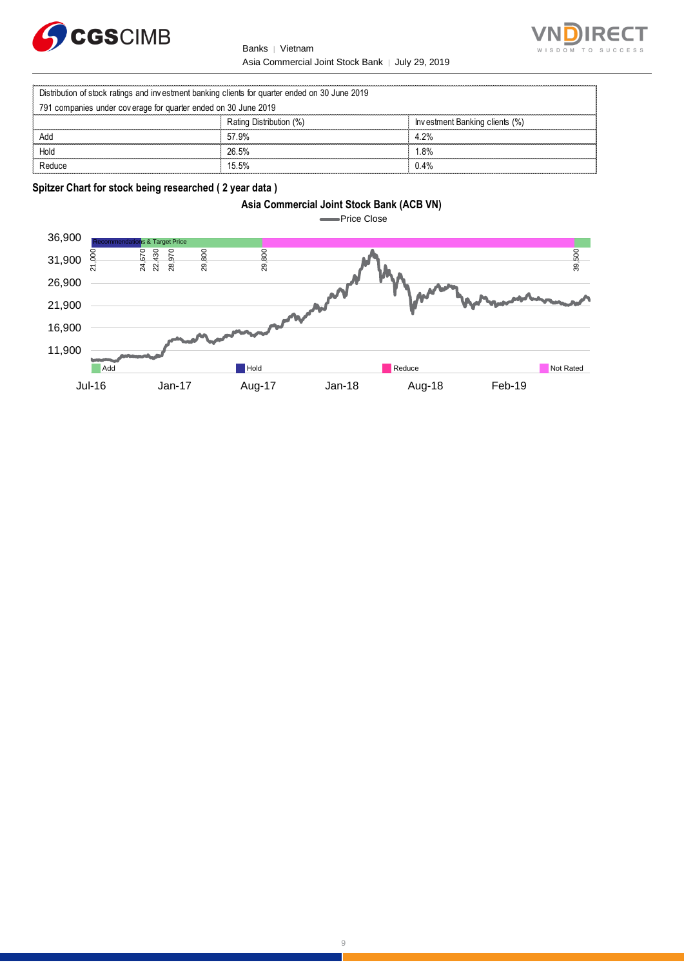





|                                                                                                | Vietnam<br><b>Banks</b> |                                | $T \Omega$ |  |
|------------------------------------------------------------------------------------------------|-------------------------|--------------------------------|------------|--|
| Asia Commercial Joint Stock Bank   July 29, 2019                                               |                         |                                |            |  |
| Distribution of stock ratings and investment banking clients for quarter ended on 30 June 2019 |                         |                                |            |  |
| 791 companies under coverage for quarter ended on 30 June 2019                                 |                         |                                |            |  |
|                                                                                                | Rating Distribution (%) | Investment Banking clients (%) |            |  |
| Add                                                                                            | 57.9%                   | 4.2%                           |            |  |
| Hold                                                                                           | 26.5%                   | $.8\%$                         |            |  |
| Reduce                                                                                         | 15.5%                   | 0.4%                           |            |  |

**Spitzer Chart for stock being researched ( 2 year data )** 





9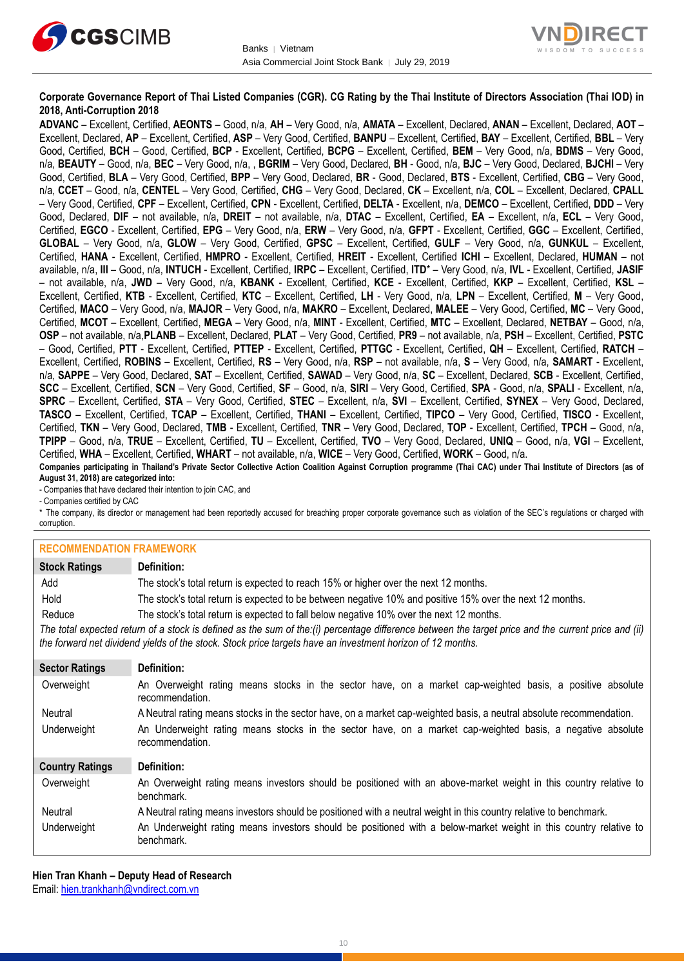



### **Corporate Governance Report of Thai Listed Companies (CGR). CG Rating by the Thai Institute of Directors Association (Thai IOD) in 2018, Anti-Corruption 2018**

**ADVANC** – Excellent, Certified, **AEONTS** – Good, n/a, **AH** – Very Good, n/a, **AMATA** – Excellent, Declared, **ANAN** – Excellent, Declared, **AOT** – Excellent, Declared, **AP** – Excellent, Certified, **ASP** – Very Good, Certified, **BANPU** – Excellent, Certified, **BAY** – Excellent, Certified, **BBL** – Very Good, Certified, **BCH** – Good, Certified, **BCP** - Excellent, Certified, **BCPG** – Excellent, Certified, **BEM** – Very Good, n/a, **BDMS** – Very Good, n/a, **BEAUTY** – Good, n/a, **BEC** – Very Good, n/a, , **BGRIM** – Very Good, Declared, **BH** - Good, n/a, **BJC** – Very Good, Declared, **BJCHI** – Very Good, Certified, **BLA** – Very Good, Certified, **BPP** – Very Good, Declared, **BR** - Good, Declared, **BTS** - Excellent, Certified, **CBG** – Very Good, n/a, **CCET** – Good, n/a, **CENTEL** – Very Good, Certified, **CHG** – Very Good, Declared, **CK** – Excellent, n/a, **COL** – Excellent, Declared, **CPALL** – Very Good, Certified, **CPF** – Excellent, Certified, **CPN** - Excellent, Certified, **DELTA** - Excellent, n/a, **DEMCO** – Excellent, Certified, **DDD** – Very Good, Declared, **DIF** – not available, n/a, **DREIT** – not available, n/a, **DTAC** – Excellent, Certified, **EA** – Excellent, n/a, **ECL** – Very Good, Certified, **EGCO** - Excellent, Certified, **EPG** – Very Good, n/a, **ERW** – Very Good, n/a, **GFPT** - Excellent, Certified, **GGC** – Excellent, Certified, **GLOBAL** – Very Good, n/a, **GLOW** – Very Good, Certified, **GPSC** – Excellent, Certified, **GULF** – Very Good, n/a, **GUNKUL** – Excellent, Certified, **HANA** - Excellent, Certified, **HMPRO** - Excellent, Certified, **HREIT** - Excellent, Certified **ICHI** – Excellent, Declared, **HUMAN** – not available, n/a, **III** – Good, n/a, **INTUCH** - Excellent, Certified, **IRPC** – Excellent, Certified, **ITD**\* – Very Good, n/a, **IVL** - Excellent, Certified, **JASIF** – not available, n/a, **JWD** – Very Good, n/a, **KBANK** - Excellent, Certified, **KCE** - Excellent, Certified, **KKP** – Excellent, Certified, **KSL** – Excellent, Certified, **KTB** - Excellent, Certified, **KTC** – Excellent, Certified, **LH** - Very Good, n/a, **LPN** – Excellent, Certified, **M** – Very Good, Certified, **MACO** – Very Good, n/a, **MAJOR** – Very Good, n/a, **MAKRO** – Excellent, Declared, **MALEE** – Very Good, Certified, **MC** – Very Good, Certified, **MCOT** – Excellent, Certified, **MEGA** – Very Good, n/a, **MINT** - Excellent, Certified, **MTC** – Excellent, Declared, **NETBAY** – Good, n/a, **OSP** – not available, n/a,**PLANB** – Excellent, Declared, **PLAT** – Very Good, Certified, **PR9** – not available, n/a, **PSH** – Excellent, Certified, **PSTC** – Good, Certified, **PTT** - Excellent, Certified, **PTTEP** - Excellent, Certified, **PTTGC** - Excellent, Certified, **QH** – Excellent, Certified, **RATCH** – Excellent, Certified, **ROBINS** – Excellent, Certified, **RS** – Very Good, n/a, **RSP** – not available, n/a, **S** – Very Good, n/a, **SAMART** - Excellent, n/a, **SAPPE** – Very Good, Declared, **SAT** – Excellent, Certified, **SAWAD** – Very Good, n/a, **SC** – Excellent, Declared, **SCB** - Excellent, Certified, **SCC** – Excellent, Certified, **SCN** – Very Good, Certified, **SF** – Good, n/a, **SIRI** – Very Good, Certified, **SPA** - Good, n/a, **SPALI** - Excellent, n/a, **SPRC** – Excellent, Certified, **STA** – Very Good, Certified, **STEC** – Excellent, n/a, **SVI** – Excellent, Certified, **SYNEX** – Very Good, Declared, **TASCO** – Excellent, Certified, **TCAP** – Excellent, Certified, **THANI** – Excellent, Certified, **TIPCO** – Very Good, Certified, **TISCO** - Excellent, Certified, **TKN** – Very Good, Declared, **TMB** - Excellent, Certified, **TNR** – Very Good, Declared, **TOP** - Excellent, Certified, **TPCH** – Good, n/a, **TPIPP** – Good, n/a, **TRUE** – Excellent, Certified, **TU** – Excellent, Certified, **TVO** – Very Good, Declared, **UNIQ** – Good, n/a, **VGI** – Excellent, Certified, **WHA** – Excellent, Certified, **WHART** – not available, n/a, **WICE** – Very Good, Certified, **WORK** – Good, n/a. **Companies participating in Thailand's Private Sector Collective Action Coalition Against Corruption programme (Thai CAC) under Thai Institute of Directors (as of** 

**August 31, 2018) are categorized into:**

- Companies that have declared their intention to join CAC, and

- Companies certified by CAC

\* The company, its director or management had been reportedly accused for breaching proper corporate governance such as violation of the SEC's regulations or charged with corruption.

#### **RECOMMENDATION FRAMEWORK**

| IN⊑VVIIIIIIEINPALIVIN I INTIIIEINVINI\ |                                                                                                                                                                                                                                                                   |
|----------------------------------------|-------------------------------------------------------------------------------------------------------------------------------------------------------------------------------------------------------------------------------------------------------------------|
| <b>Stock Ratings</b>                   | Definition:                                                                                                                                                                                                                                                       |
| Add                                    | The stock's total return is expected to reach 15% or higher over the next 12 months.                                                                                                                                                                              |
| Hold                                   | The stock's total return is expected to be between negative 10% and positive 15% over the next 12 months.                                                                                                                                                         |
| Reduce                                 | The stock's total return is expected to fall below negative 10% over the next 12 months.                                                                                                                                                                          |
|                                        | The total expected return of a stock is defined as the sum of the:(i) percentage difference between the target price and the current price and (ii)<br>the forward net dividend yields of the stock. Stock price targets have an investment horizon of 12 months. |
| <b>Sector Ratings</b>                  | Definition:                                                                                                                                                                                                                                                       |
| Overweight                             | An Overweight rating means stocks in the sector have, on a market cap-weighted basis, a positive absolute<br>recommendation.                                                                                                                                      |
| Neutral                                | A Neutral rating means stocks in the sector have, on a market cap-weighted basis, a neutral absolute recommendation.                                                                                                                                              |
| Underweight                            | An Underweight rating means stocks in the sector have, on a market cap-weighted basis, a negative absolute<br>recommendation.                                                                                                                                     |
| <b>Country Ratings</b>                 | Definition:                                                                                                                                                                                                                                                       |
| Overweight                             | An Overweight rating means investors should be positioned with an above-market weight in this country relative to<br>henchmark                                                                                                                                    |

Neutral A Neutral rating means investors should be positioned with a neutral weight in this country relative to benchmark.

Underweight An Underweight rating means investors should be positioned with a below-market weight in this country relative to benchmark.

**Hien Tran Khanh – Deputy Head of Research** Email: [hien.trankhanh@vndirect.com.vn](mailto:hien.trankhanh@vndirect.com.vn)